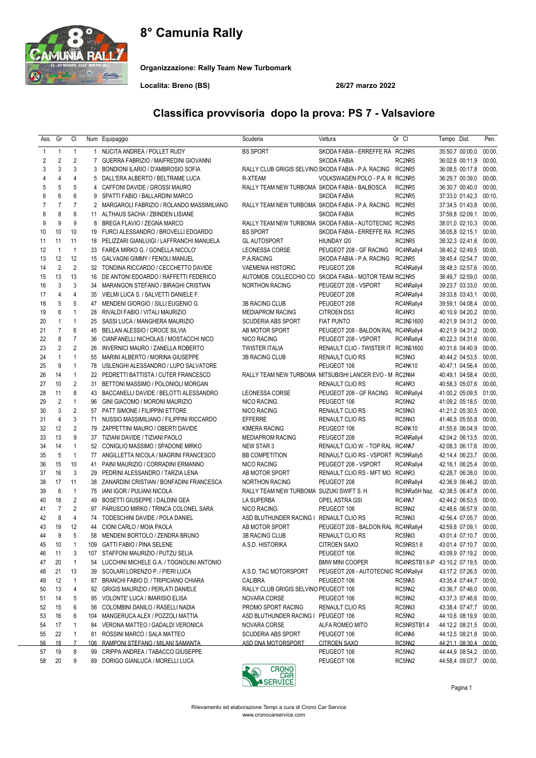# 8° Camunia Rally



Organizzazione: Rally Team New Turbomark

Localita: Breno (BS) 26/27 marzo 2022

#### 1 1 1 1 NUCITA ANDREA / POLLET RUDY BS SPORT SKODA FABIA - ERREFFE RA RC2NR5 35:50,7 00:00,0 00:00, 2 2 2 7 GUERRA FABRIZIO / MAIFREDINI GIOVANNI SANTO SANTO SANTO SKODA FABIA SKODA FAGIA RC2NR5 36:02.6 00:11.9 00:00 3 3 3 3 BONDIONI ILARIO / D'AMBROSIO SOFIA RALLY CLUB GRIGIS SELVINO SKODA FABIA - P.A. RACING RC2NR5 36:08.5 00:17,8 00:00 4 4 4 5 DALL'ERA ALBERTO / BELTRAME LUCA R-XTEAM VOLKSWAGEN POLO - P.A. R RC2NR5 36:29,7 00:39,0 00:00, 5 5 5 4 CAFFONI DAVIDE / GROSSI MAURO RALLY TEAM NEW TURBOMA SKODA FABIA - BALBOSCA RC2NR5 36:30,7 00:40,0 00:00, 6 6 6 9 SPATTI FABIO / BALLARDINI MARCO SKODA FABIA RC2NR5 37:33,0 01:42,3 00:10, 7 7 7 2 MARGAROLI FABRIZIO / ROLANDO MASSIMILIANO RALLY TEAM NEW TURBOMA SKODA FABIA - P.A. RACING RC2NR5 37:34,5 01:43,8 00:00, 8 8 8 11 ALTHAUS SACHA / ZBINDEN LISIANE SACHA SALLY TEAM NEW TURBOMA SKODA FABIA AUTOTECNIC RC2NR5 37:59,8 02:09,1 00:00, 20:00, 2:10,3 00:00 RALLY TEAM NEW TURBOMA SKODA FABIA - AUTOTECNIC RC2NR5 38:01,0 02:10,3 00:00 9 9 9 8 BREGA FLAVIO / ZEGNA MARCO RALLY TEAM NEW TURBOMA SKODA FABIA - AUTOTECNIC RC2NR5 38:01,0 02:10,3 00:00, 10 10 10 19 FURCI ALESSANDRO / BROVELLI EDOARDO BS SPORT SKODA FABIA - ERREFFE RA RC2NR5 38:05,8 02:15,1 00:00, 11 11 11 18 PELIZZARI GIANLUIGI / LAFFRANCHI MANUELA GL AUTOSPORT HIUNDAY 120 RC2NR5 38:32,3 02:41,6 00:00 12 1 1 33 FAREA MIRKO G. / GONELLA NICOLO' LEONESSA CORSE PEUGEOT 208 - GF RACING RC4NRally4 38:40,2 02:49,5 00:00, 13 12 12 15 GALVAGNI GIMMY / FENOLI MANUEL P.A.RACING SKODA FABIA - P.A. RACING RC2NR5 38:45,4 02:54,7 00:00, 14 2 2 32 TONDINA RICCARDO / CECCHETTO DAVIDE VAEMENIA HISTORIC PEUGEOT 208 RC4NRally4 38:48,3 02:57,6 00:00, 15 13 14 DE ANTONI EDOARDO / RAFFETTI FEDERICO AUTOMOB. COLLECCHIO CO SKODA FARIA - MOTOR TEAM RC2NR5 38:49.7 02:59,0 00:00 16 3 3 34 MARANGON STEFANO / BIRAGHI CRISTIAN NORTHON RACING PEUGEOT 208 - VSPORT RC4NRally4 39:23,7 03:33,0 00:00, 17 4 4 35 VIELMI LUCA S. / SALVETTI DANIELE F. PEUGEOT 208 RC4NRally4 39:33,8 03:43,1 00:00, 18 5 5 47 MENDENI GIORGIO / SILLI EUGENIO G. 3B RACING CLUB PEUGEOT 208 RC4NRally4 39:59,1 04:08,4 00:00, 19 6 1 28 RIVALDI FABIO / VITALI MAURIZIO MEDIAPROM RACING CITROEN DS3 RC4NR3 40:10,9 04:20,2 00:00, 20 1 1 25 SASSI LUCA / MANGHERA MAURIZIO SCUDERIA ABS SPORT FIAT PUNTO RC3NS1600 40:21,9 04:31,2 00:00, 21 7 6 45 BELLAN ALESSIO / CROCE SILVIA <br>22 8 7 36 CIANFANELLI NICHOLAS / MOSTACCHI NICO ANICO RACING PEUGEOT 208 - VSPORT RC4NRally4 40:22,3 04:31.6 00:00 22 8 7 36 CIANFANELLI NICHOLAS / MOSTACCHI NICO NICO RACING PEUGEOT 208 - VSPORT RC4NRally4 40:22,3 04:31,6 00:00, 23 2 2 26 INVERNICI MAURO / ZANELLA ROBERTO TWISTER ITALIA RENAULT CLIO - TWISTER IT RC3NS1600 40:31,6 04:40,9 00:00, 24 1 1 55 MARINI ALBERTO / MORINA GIUSEPPE 3B RACING CLUB RENAULT CLIO RS RC5NN3 40:44,2 04:53,5 00:00, 25 9 1 78 USLENGHI ALESSANDRO / LUPO SALVATORE PEUGEOT 106 RC4NK10 40:47,1 04:56,4 00:00, 26 14 1 22 PEDRETTI BATTISTA / CUTER FRANCESCO RALLY TEAM NEW TURBOMA MITSUBISHI LANCER EVO - M RC2NN4 40:49.1 04:58.4 00:00 27 10 2 31 BETTONI MASSIMO / POLONIOLI MORGAN RENAULT CLIO RS RENAULT CLIO RS RC4NR3 40:58,3 05:07,6 00:00 28 11 8 43 BACCANELLI DAVIDE / BELOTTI ALESSANDRO LEONESSA CORSE PEUGEOT 208 - GF RACING RC4NRally4 41:00,2 05:09,5 01:00, 29 2 1 96 GINI GIACOMO / MORONI MAURIZIO NICO RACING. PEUGEOT 106 RC5NN2 41:09,2 05:18,5 00:00, 30 3 2 57 PATT SIMONE / FILIPPINI ETTORE NICO RACING RENAULT CLIO RS RC5NN3 41:21.2 05:30.5 00:00 31 4 3 71 NUSSIO MASSIMILIANO / FILIPPINI RICCARDO EFFERRE RENAULT CLIO RS RC5NN3 41:46,5 05:55,8 00:00, 32 12 2 79 ZAPPETTINI MAURO / OBERTI DAVIDE KIMERA RACING PEUGEOT 106 RC4NK10 41:55,6 06:04,9 00:00, 33 13 9 37 TIZIANI DAVIDE / TIZIANI PAOLO MEDIAPROM RACING PEUGEOT 208 RC4NRally4 42:04,2 06:13,5 00:00, 34 14 1 52 CONIGLIO MASSIMO / SPADONE MIRKO NEW STAR 3 RENAULT CLIO W. - TOP RAL RC4NA7 42:08,3 06:17,6 00:00 35 5 1 77 ANGILLETTA NICOLA / MAGRINI FRANCESCO BB COMPETITION RENAULT CLIO RS - VSPORT RC5NRally5 42:14,4 06:23,7 00:00, 36 15 10 41 PAINI MAURIZIO / CORRADINI ERMANNO NICO RACING PEUGEOT 208 - VSPORT RC4NRally4 42:16,1 06:25,4 00:00, 37 16 3 29 PEDRINI ALESSANDRO / TARZIA LENA AB MOTOR SPORT RENAULT CLIO RS - MFT MO RC4NR3 42:28,7 06:38,0 00:00, 38 17 11 38 ZANARDINI CRISTIAN / BONFADINI FRANCESCA NORTHON RACING PEUGEOT 208 RC4NRally4 42:36,9 06:46,2 00:00, 39 6 1 75 IANI IGOR / PULIANI NICOLA RALLY TEAM NEW TURBOMA SUZUKI SWIFT S. H. RC5NRa5H Naz. 42:38,5 06:47,8 00:00, 40 18 2 49 BOSETTI GIUSEPPE / DALDINI GEA LA SUPERBA OPEL ASTRA GSI RC4NA7 42:44,2 06:53,5 00:00, 41 7 2 97 PARUSCIO MIRKO / TRINCA COLONEL SARA NICO RACING. PEUGEOT 106 RC5NN2 42:48,6 06:57,9 00:00, 42 8 4 74 TODESCHINI DAVIDE / POLA DANIEL ASD BLUTHUNDER RACING I RENAULT CLIO RS RC5NN3 42:56,4 07:05,7 00:00, 43 19 12 44 CIONI CARLO / MOIA PAOLA AB MOTOR SPORT PEUGEOT 208 - BALDON RAL RC4NRally4 42:59,8 07:09,1 00:00, 44 9 5 58 MENDENI BORTOLO / ZENDRA BRUNO 3B RACING CLUB RENAULT CLIO RS RC5NN3 43:01,4 07:10,7 00:00, 45 10 1 109 GATTI FABIO / PINA SELENE A.S.D. HISTORIKA CITROEN SAXO RC5NRS1.6 43:01.4 07:10.7 00:00 46 11 3 107 STAFFONI MAURIZIO / PUTZU SELIA PEUGEOT 106 RC5NN2 43:09,9 07:19,2 00:00, 47 20 1 54 LUCCHINI MICHELE G.A. / TOGNOLINI ANTONIO BMW MINI COOPER RC4NRSTB1.6-P 43:10,2 07:19,5 00:00, 48 21 13 39 SCOLARI LORENZO P. / PIERI LUCA A.S.D. TAC MOTORSPORT PEUGEOT 208 - AUTOTECNIC RC4NRally4 43:17,2 07:26,5 00:00, 49 12 1 87 BRANCHI FABIO D. / TRIPICIANO CHIARA CALIBRA PEUGEOT 106 RC5NA5 43:35,4 07:44,7 00:00, 50 13 4 92 GRIGIS MAURIZIO / PERLATI DANIELE RALLY CLUB GRIGIS SELVINO PEUGEOT 106 RC5NN2 43:36,7 07:46,0 00:00, 51 14 5 95 VOLONTE' LUCA / IMARISIO ELISA NOVARA CORSE PEUGEOT 106 RC5NN2 43:37,3 07:46,6 00:00, 52 15 6 56 COLOMBINI DANILO / RASELLI NADIA PROMO SPORT RACING RENAULT CLIO RS RC5NN3 43:38,4 07:47,7 00:00, 53 16 6 104 MANGERUCA ALEX / POZZOLI MATTIA ASD BLUTHUNDER RACING I PEUGEOT 106 RC5NN2 44:10,6 08:19,9 00:00, 54 17 1 84 VERONA MATTEO / GADALDI VERONICA NOVARA CORSE ALFA ROMEO MITO RC5NRSTB1.4 44:12.2 08:21.5 00:00 55 22 1 81 ROSSINI MARCO / SALA MATTEO SCUDERIA ABS SPORT PEUGEOT 106 RC4NA6 44:12,5 08:21,8 00:00, 56 18 7 106 RAMPONI STEFANO / MILANI SAMANTA ASD DNA MOTORSPORT CITROEN SAXO RC5NN2 44:21,1 08:30,4 00:00, 57 19 8 99 CRIPPA ANDREA / TABACCO GIUSEPPE **PEUGEOT 106** PEUGEOT 106 RC5NN2 44:44.9 08:54.2 00:00

### Classifica provvisoria dopo la prova: PS 7 - Valsaviore

Ass. Gr Cl Num Equipaggio Scuderia Vettura Gr Cl Tempo Dist. Pen.

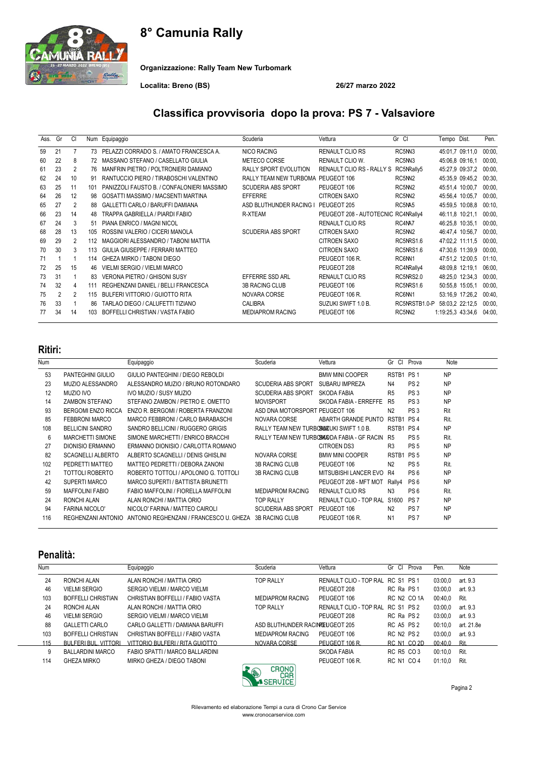# 8° Camunia Rally



Organizzazione: Rally Team New Turbomark

Localita: Breno (BS) 26/27 marzo 2022

## Classifica provvisoria dopo la prova: PS 7 - Valsaviore

| Ass. | Gr             | CI             |     | Num Equipaggio                             | Scuderia                  | Vettura                             | Gr Cl             | Tempo Dist.       |         | Pen.   |
|------|----------------|----------------|-----|--------------------------------------------|---------------------------|-------------------------------------|-------------------|-------------------|---------|--------|
| 59   | 21             | 7              | 73  | PELAZZI CORRADO S. / AMATO FRANCESCA A.    | NICO RACING               | <b>RENAULT CLIO RS</b>              | RC5NN3            | 45:01,7 09:11,0   |         | 00:00. |
| 60   | 22             | 8              |     | MASSANO STEFANO / CASELLATO GIULIA         | METECO CORSE              | <b>RENAULT CLIO W.</b>              | RC5NN3            | 45:06.8 09:16.1   |         | 00:00. |
| 61   | 23             | $\overline{2}$ | 76  | MANFRIN PIETRO / POLTRONIERI DAMIANO       | RALLY SPORT EVOLUTION     | <b>RENAULT CLIO RS - RALLY S</b>    | RC5NRally5        | 45:27,9 09:37,2   |         | 00:00. |
| 62   | 24             | 10             | 91  | RANTUCCIO PIERO / TIRABOSCHI VALENTINO     | RALLY TEAM NEW TURBOMA    | PEUGEOT 106                         | RC5NN2            | 45:35,9 09:45,2   |         | 00:30. |
| 63   | 25             | 11             | 101 | PANIZZOLI FAUSTO B. / CONFALONIERI MASSIMO | <b>SCUDERIA ABS SPORT</b> | PEUGEOT 106                         | RC5NN2            | 45:51,4 10:00,7   |         | 00:00. |
| 64   | 26             | 12             | 98  | GOSATTI MASSIMO / MACSENTI MARTINA         | <b>EFFERRE</b>            | <b>CITROEN SAXO</b>                 | RC5NN2            | 45:56,4 10:05,7   |         | 00:00, |
| 65   | 27             | 2              | 88  | GALLETTI CARLO / BARUFFI DAMIANA           | ASD BLUTHUNDER RACING I   | PEUGEOT 205                         | RC5NA5            | 45:59.5 10:08.8   |         | 00:10  |
| 66   | 23             | 14             | 48  | TRAPPA GABRIELLA / PIARDI FABIO            | R-XTEAM                   | PEUGEOT 208 - AUTOTECNIC RC4NRally4 |                   | 46:11.8           | 10:21.1 | 00:00. |
| 67   | 24             | 3              | 51  | PIANA ENRICO / MAGNI NICOL                 |                           | <b>RENAULT CLIO RS</b>              | RC4NA7            | 46:25,8 10:35,1   |         | 00:00, |
| 68   | 28             | 13             | 105 | ROSSINI VALERIO / CICERI MANOLA            | <b>SCUDERIA ABS SPORT</b> | <b>CITROEN SAXO</b>                 | RC5NN2            | 46:47,4 10:56,7   |         | 00:00, |
| 69   | 29             | $\overline{2}$ | 112 | MAGGIORI ALESSANDRO / TABONI MATTIA        |                           | <b>CITROEN SAXO</b>                 | RC5NRS1.6         | 47:02.2 11:11.5   |         | 00:00. |
| 70   | 30             | 3              | 113 | GIULIA GIUSEPPE / FERRARI MATTEO           |                           | <b>CITROEN SAXO</b>                 | RC5NRS1.6         | 47:30.6 11:39.9   |         | 00:00. |
| 71   | -1             |                | 114 | GHEZA MIRKO / TABONI DIEGO                 |                           | PEUGEOT 106 R.                      | RC6NN1            | 47:51,2 12:00,5   |         | 01:10. |
| 72   | 25             | 15             | 46  | VIELMI SERGIO / VIELMI MARCO               |                           | PEUGEOT 208                         | RC4NRally4        | 48:09.8 12:19.1   |         | 06:00, |
| 73   | 31             |                | 83  | <b>VERONA PIETRO / GHISONI SUSY</b>        | EFFERRE SSD ARL           | <b>RENAULT CLIO RS</b>              | RC5NRS2.0         | 48:25,0 12:34,3   |         | 00:00. |
| 74   | 32             | 4              | 111 | REGHENZANI DANIEL / BELLI FRANCESCA        | <b>3B RACING CLUB</b>     | PEUGEOT 106                         | RC5NRS1.6         | 50:55,8 15:05,1   |         | 00:00, |
| 75   | $\overline{2}$ | 2              | 115 | <b>BULFERI VITTORIO / GUIOTTO RITA</b>     | NOVARA CORSE              | PEUGEOT 106 R.                      | RC6N <sub>1</sub> | 53:16.9 17:26.2   |         | 00:40. |
| 76   | 33             |                | 86  | TARLAO DIEGO / CALUFETTI TIZIANO           | <b>CALIBRA</b>            | SUZUKI SWIFT 1.0 B.                 | RC5NRSTB1.0-P     | 58:03.2 22:12.5   |         | 00:00. |
| 77   | 34             | 14             | 103 | BOFFELLI CHRISTIAN / VASTA FABIO           | <b>MEDIAPROM RACING</b>   | PEUGEOT 106                         | RC5NN2            | 1:19:25.3 43:34.6 |         | 04:00, |

### Ritiri:

| <b>Num</b> |                          | Equipaggio                              | Scuderia                                | Vettura                                     | <sub>CI</sub><br>Gr | Prova           | Note      |
|------------|--------------------------|-----------------------------------------|-----------------------------------------|---------------------------------------------|---------------------|-----------------|-----------|
| 53         | PANTEGHINI GIULIO        | GIULIO PANTEGHINI / DIEGO REBOLDI       |                                         | <b>BMW MINI COOPER</b>                      | RSTB1 PS 1          |                 | <b>NP</b> |
| 23         | MUZIO ALESSANDRO         | ALESSANDRO MUZIO / BRUNO ROTONDARO      | SCUDERIA ABS SPORT                      | SUBARU IMPREZA                              | N4                  | PS <sub>2</sub> | <b>NP</b> |
| 12         | MUZIO IVO                | IVO MUZIO / SUSY MUZIO                  | <b>SCUDERIA ABS SPORT</b>               | SKODA FABIA                                 | R <sub>5</sub>      | PS <sub>3</sub> | <b>NP</b> |
| 14         | <b>ZAMBON STEFANO</b>    | STEFANO ZAMBON / PIETRO E. OMETTO       | <b>MOVISPORT</b>                        | SKODA FABIA - ERREFFE                       | R <sub>5</sub>      | PS <sub>3</sub> | <b>NP</b> |
| 93         | BERGOMI ENZO RICCA       | ENZO R. BERGOMI / ROBERTA FRANZONI      | ASD DNA MOTORSPORT PEUGEOT 106          |                                             | N <sub>2</sub>      | PS <sub>3</sub> | Rit       |
| 85         | FEBBRONI MARCO           | MARCO FEBBRONI / CARLO BARABASCHI       | NOVARA CORSE                            | ABARTH GRANDE PUNTO                         | RSTB1               | PS <sub>4</sub> | Rit.      |
| 108        | <b>BELLICINI SANDRO</b>  | SANDRO BELLICINI / RUGGERO GRIGIS       | RALLY TEAM NEW TURBOWIKING SWIFT 1.0 B. |                                             | RSTB1 PS4           |                 | <b>NP</b> |
| 6          | <b>MARCHETTI SIMONE</b>  | SIMONE MARCHETTI / ENRICO BRACCHI       |                                         | RALLY TEAM NEW TURBOSWADDA FABIA - GF RACIN | R <sub>5</sub>      | PS <sub>5</sub> | Rit.      |
| 27         | <b>DIONISIO ERMANNO</b>  | ERMANNO DIONISIO / CARLOTTA ROMANO      |                                         | <b>CITROEN DS3</b>                          | R <sub>3</sub>      | PS <sub>5</sub> | <b>NP</b> |
| 82         | <b>SCAGNELLI ALBERTO</b> | ALBERTO SCAGNELLI / DENIS GHISLINI      | NOVARA CORSE                            | <b>BMW MINI COOPER</b>                      | RSTB <sub>1</sub>   | PS <sub>5</sub> | <b>NP</b> |
| 102        | PEDRETTI MATTEO          | MATTEO PEDRETTI / DEBORA ZANONI         | <b>3B RACING CLUB</b>                   | PEUGEOT 106                                 | N <sub>2</sub>      | PS <sub>5</sub> | Rit.      |
| 21         | TOTTOLI ROBERTO          | ROBERTO TOTTOLI / APOLONIO G. TOTTOLI   | <b>3B RACING CLUB</b>                   | MITSUBISHI LANCER EVO                       | R4                  | PS <sub>6</sub> | <b>NP</b> |
| 42         | SUPERTI MARCO            | MARCO SUPERTI / BATTISTA BRUNETTI       |                                         | PEUGEOT 208 - MFT MOT                       | Rally4              | PS <sub>6</sub> | <b>NP</b> |
| 59         | <b>MAFFOLINI FABIO</b>   | FABIO MAFFOLINI / FIORELLA MAFFOLINI    | <b>MEDIAPROM RACING</b>                 | <b>RENAULT CLIO RS</b>                      | N <sub>3</sub>      | PS <sub>6</sub> | Rit.      |
| 24         | RONCHI ALAN              | ALAN RONCHI / MATTIA ORIO               | <b>TOP RALLY</b>                        | RENAULT CLIO - TOP RAL                      | S <sub>1600</sub>   | PS <sub>7</sub> | <b>NP</b> |
| 94         | <b>FARINA NICOLO'</b>    | NICOLO' FARINA / MATTEO CAIROLI         | <b>SCUDERIA ABS SPORT</b>               | PEUGEOT 106                                 | N <sub>2</sub>      | PS <sub>7</sub> | <b>NP</b> |
| 116        | REGHENZANI ANTONIO       | ANTONIO REGHENZANI / FRANCESCO U. GHEZA | 3B RACING CLUB                          | PEUGEOT 106 R.                              | N <sub>1</sub>      | PS <sub>7</sub> | <b>NP</b> |
|            |                          |                                         |                                         |                                             |                     |                 |           |

#### Penalità:

| <b>Num</b> |                             | Equipaggio                       | Scuderia                        | Vettura                           | -CI<br>Gr         | Prova       | Pen.    | Note       |
|------------|-----------------------------|----------------------------------|---------------------------------|-----------------------------------|-------------------|-------------|---------|------------|
| 24         | RONCHI ALAN                 | ALAN RONCHI / MATTIA ORIO        | <b>TOP RALLY</b>                | RENAULT CLIO - TOP RAL RC S1 PS 1 |                   |             | 03:00.0 | art. 9.3   |
| 46         | <b>VIELMI SERGIO</b>        | SERGIO VIELMI / MARCO VIELMI     |                                 | PEUGEOT 208                       | RC Ra PS 1        |             | 03:00.0 | art. 9.3   |
| 103        | BOFFELLI CHRISTIAN          | CHRISTIAN BOFFELLI / FABIO VASTA | <b>MEDIAPROM RACING</b>         | PEUGEOT 106                       |                   | RC N2 CO 1A | 00:40.0 | Rit.       |
| 24         | RONCHI ALAN                 | ALAN RONCHI / MATTIA ORIO        | <b>TOP RALLY</b>                | RENAULT CLIO - TOP RAL            | RC S1 PS 2        |             | 03:00.0 | art. 9.3   |
| 46         | <b>VIELMI SERGIO</b>        | SERGIO VIELMI / MARCO VIELMI     |                                 | PEUGEOT 208                       | RC Ra PS 2        |             | 03:00.0 | art. 9.3   |
| 88         | <b>GALLETTI CARLO</b>       | CARLO GALLETTI / DAMIANA BARUFFI | ASD BLUTHUNDER RACINREUGEOT 205 |                                   | <b>RC A5 PS 2</b> |             | 00:10.0 | art. 21.8e |
| 103        | BOFFELLI CHRISTIAN          | CHRISTIAN BOFFELLI / FABIO VASTA | <b>MEDIAPROM RACING</b>         | PEUGEOT 106                       | <b>RC N2 PS 2</b> |             | 03:00.0 | art. 9.3   |
| 115        | <b>BULFERI BUL, VITTORI</b> | VITTORIO BULFERI / RITA GUIOTTO  | NOVARA CORSE                    | PEUGEOT 106 R.                    |                   | RC N1 CO 2D | 00:40.0 | Rit.       |
| 9          | <b>BALLARDINI MARCO</b>     | FABIO SPATTI / MARCO BALLARDINI  |                                 | SKODA FABIA                       |                   | RC R5 CO 3  | 00:10,0 | Rit.       |
| 114        | <b>GHF7A MIRKO</b>          | MIRKO GHEZA / DIEGO TABONI       | $\sim$ $\sim$ $\sim$<br>$\sim$  | PEUGEOT 106 R.                    | <b>RC N1 CO 4</b> |             | 01:10,0 | Rit.       |